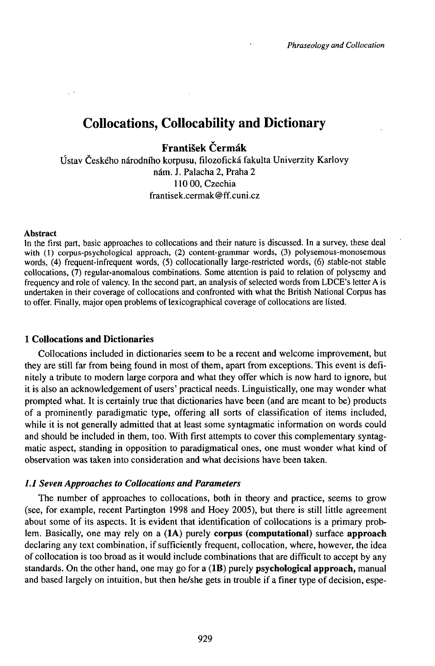# Collocations, Collocability and Dictionary

**František Čermák**

Ústav Českého národního korpusu, filozofická fakulta Univerzity Karlovy nám. J. Palacha 2, Praha 2 110 00,Czechia frantisek.cermak@ff.cuni.cz

#### Abstract

In the first part, basic approaches to collocations and their nature is discussed. In a survey, these deal with (1) corpus-psychological approach, (2) content-grammar words, (3) polysemous-monosemous words, (4) frequent-infrequent words, (5) collocationally large-restricted words, (6) stable-not stable collocations, (7) regular-anomalous combinations. Some attention is paid to relation of polysemy and frequency and role of valency. In the second part, an analysis of selected words from LDCE's letter A is undertaken in their coverage of collocations and confronted with what the British National Corpus has to offer. Finally, major open problems of lexicographical coverage of collocations are listed.

# **1 Collocations and Dictionaries**

Collocations included in dictionaries seem to be a recent and welcome improvement, but they are still far from being found in most of them, apart from exceptions. This event is definitely a tribute to modern large corpora and what they offer which is now hard to ignore, but it is also an acknowledgement of users' practical needs. Linguistically, one may wonder what prompted what. It is certainly true that dictionaries have been (and are meant to be) products of a prominently paradigmatic type, offering all sorts of classification of items included, while it is not generally admitted that at least some syntagmatic information on words could and should be included in them, too. With first attempts to cover this complementary syntagmatic aspect, standing in opposition to paradigmatical ones, one must wonder what kind of observation was taken into consideration and what decisions have been taken.

# *1.1 Seven Approaches to Collocations and Parameters*

The number of approaches to collocations, both in theory and practice, seems to grow (see, for example, recent Partington 1998 and Hoey 2005), but there is still little agreement about some of its aspects. It is evident that identification of collocations is a primary problem. Basically, one may rely on a (lA) purely **corpus (computational)** surface **approach** declaring any text combination, if sufficiently frequent, collocation, where, however, the idea of collocation is too broad as it would include combinations that are difficult to accept by any standards. On the other hand, one may go for a (lB) purely **psychological approach,** manual and based largely on intuition, but then he/she gets in trouble if a finer type of decision, espe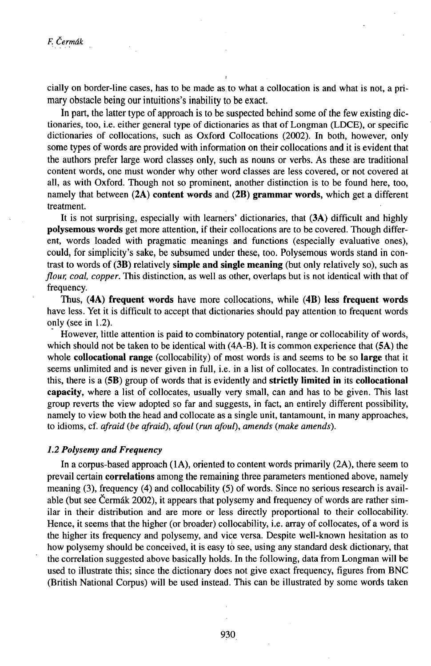cially on border-line cases, has to be made as.to what a collocation is and what is not, a primary obstacle being our intuitions's inability to be exact.

In part, the latter type of approach is to be suspected behind some of the few existing dictionaries, too, i.e. either general type of dictionaries as that of Longman (LDCE), or specific dictionaries of collocations, such as Oxford Collocations (2002). In both, however, only some types of words are provided with information on their collocations and it is evident that the authors prefer large word classes only, such as nouns or verbs. As these are traditional content words, one must wonder why other word classes are less covered, or not covered at all, as with Oxford. Though not so prominent, another distinction is to be found here, too, namely that between **(2A) content words** and **(2B) grammar words,** which get a different treatment.

It is not surprising, especially with learners' dictionaries, that (3A) difficult and highly **poIysemous words** get more attention, if their collocations are to be covered. Though different, words loaded with pragmatic meanings and functions (especially evaluative ones), could, for simplicity's sake, be subsumed under these, too. PoIysemous words stand in contrast to words of (3B) relatively **simple and single meaning** (but only relatively so), such as *flour, coal, copper.* This distinction, as well as other, overlaps but is not identical with that of frequency.

Thus, **(4A) frequent words** have more collocations, while **(4B) less frequent words** have less. Yet it is difficult to accept that dictionaries should pay attention to frequent words only (seein 1.2).

However, little attention is paid to combinatory potential, range or collocability of words, which should not be taken to be identical with (4A-B). It is common experience that (5A) the whole **collocational range** (collocability) of most words is and seems to be so **large** that it seems unlimited and is never given in full, i.e. in a list of collocates. In contradistinction to this, there is a (5B) group of words that is evidently and **strictly limited in** its **collocational capacity,** where a list of collocates, usually very small, can and has to be given. This last group reverts the view adopted so far and suggests, in fact, an entirely different possibility, namely to view both the head and collocate as a single unit, tantamount, in many approaches, to idioms, cf. *afraid (be afraid), afoul (run afoul), amends (make amends).*

# *1.2 Polysemy and Frequency*

In a corpus-based approach (lA), oriented to content words primarily (2A), there seem to prevail certain **correlations** among the remaining three parameters mentioned above, namely meaning (3), frequency (4) and collocability (5) of words. Since no serious research is available (but see Čermák 2002), it appears that polysemy and frequency of words are rather similar in their distribution and are more or less directly proportional to their collocability. Hence, it seems that the higher (or broader) collocability, i.e. array of collocates, of a word is the higher its frequency and polysemy, and vice versa. Despite well-known hesitation as to how polysemy should be conceived, it is easy tó see, using any standard desk dictionary, that the correlation suggested above basically holds. In the following, data from Longman will be used to illustrate this; since the dictionary does not give exact frequency, figures from BNC (British National Corpus) will be used instead. This can be illustrated by some words taken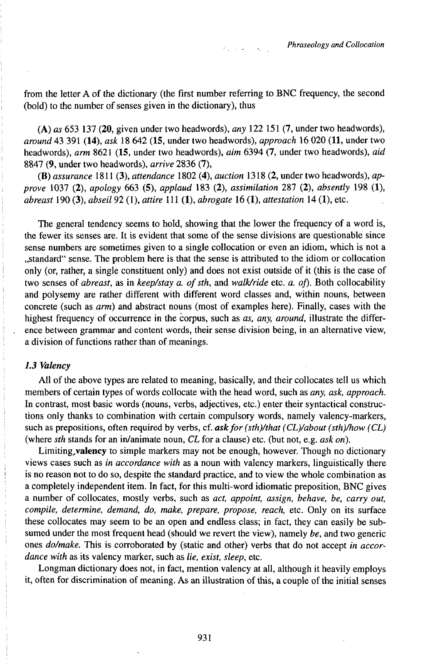from the letter A of the dictionary (the first number referring to BNC frequency, the second (bold) to the number of senses given in the dictionary), thus

(A) *as* 653 137 (20, given under two headwords), *any* 122 151 (7, under two headwords), *around* 43 391 (14), *ask* 18 642 (15, under two headwords), *approach* 16 020 (11, under two headwords), *arm* 8621 (15, under two headwords), *aim* 6394 (7, under two headwords), *aid* 8847 (9, under two headwords), *arrive* 2836 (7),

(B) *assurance* 1811 (3), *attendance* 1802 (4), *auction* 1318 (2, under two headwords), *approve* 1037 (2), *apology* 663 (5), *applaud* 183 (2), *assimilation* 287 (2), *absently* 198 (1), *abreast* 190 (3), *abseil* 92 (1), *attire* 111 (1), *abrogate* 16 (1), *attestation* 14 (1), etc.

The general tendency seems to hold, showing that the lower the frequency of a word is, the fewer its senses are. It is evident that some of the sense divisions are questionable since sense numbers are sometimes given to a single collocation or even an idiom, which is not a "standard" sense. The problem here is that the sense is attributed to the idiom or collocation only (or, rather, a single constituent only) and does not exist outside of it (this is the case of two senses of *abreast*, as in *keep/stay a. of sth*, and *walk/ride* etc. *a. of*). Both collocability and polysemy are rather different with different word classes and, within nouns, between concrete (such as *arm)* and abstract nouns (most of examples here). Finally, cases with the highest frequency of occurrence in the corpus, such as *as, any, around,* illustrate the difference between grammar and content words, their sense division being, in an alternative view, a division of functions rather than of meanings.

#### *1.3 Valency*

All of the above types are related to meaning, basically, and their collocates tell us which members of certain types of words collocate with the head word, such as *any, ask, approach.* In contrast, most basic words (nouns, verbs, adjectives, etc.) enter their syntactical constructions only thanks to combination with certain compulsory words, namely valency-markers, such as prepositions, often required by verbs, cf. ask for (sth)/that (CL)/about (sth)/how (CL) (where *sth* stands for an in/animate noun, *CL* for a clause) etc. (but not, e.g. *ask on).*

Limiting,valency to simple markers may not be enough, however. Though no dictionary views cases such as *in accordance with* as a noun with valency markers, linguistically there is no reason not to do so, despite the standard practice, and to view the whole combination as a completely independent item. In fact, for this multi-word idiomatic preposition, BNC gives a number of collocates, mostly verbs, such as *act, appoint, assign, behave, be, carry out, compile, determine, demand, do, make, prepare, propose, reach,* etc. Only on its surface these collocates may seem to be an open and endless class; in fact, they can easily be subsumed under the most frequent head (should we revert the view), namely *be,* and two generic ones *do/make.* This is corroborated by (static and other) verbs that do not accept *in accordance with* as its valency marker, such as *lie, exist, sleep,* etc.

Longman dictionary does not, in fact, mention valency at all, although it heavily employs it, often for discrimination of meaning. As an illustration of this, a couple of the initial senses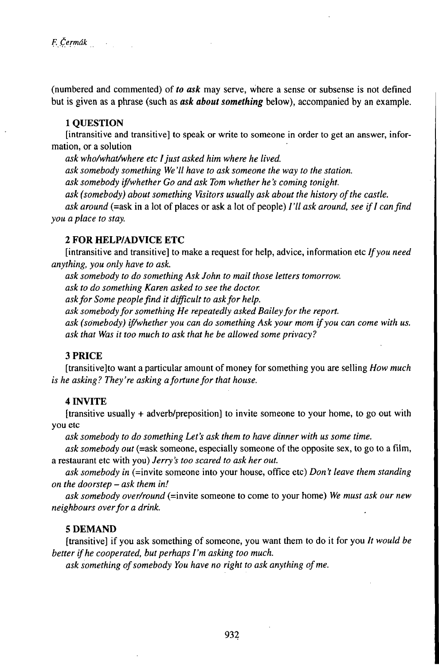(numbered and commented) of *to ask* may serve, where a sense or subsense is not defined but is given as a phrase (such as *ask about something* below), accompanied by an example.

### **1 QUESTION**

[intransitive and transitive] to speak or write to someone in order to get an answer, information, or a solution

*ask who/what/where etc Ijust asked him where he lived.*

*ask somebody something We '11 have to ask someone the way to the station.*

*ask somebody if/whether Go and ask Tom whether he 's coming tonight.*

*ask (somebody) about something Visitors usually ask about the history ofthe castle.*

*ask around* (=ask in a lot ofplaces or ask a lot ofpeople) *I'll ask around, see ifI canfind you a place to stay.*

# **2 FOR HELP/ADVICE ETC**

[intransitive and transitive] to make a request for help, advice, information etc *Ifyou need anything, you only have to ask.*

*ask somebody to do something Ask John to mail those letters tomorrow.*

*ask to do something Karen asked to see the doctor.*

*askfor Some peoplefind it difficult to askfor help.*

*ask somebodyfor something He repeatedly asked Baileyfor the report.*

*ask (somebody) if/whether you can do something Ask your mom ifyou can come with us. ask that Was it too much to ask that he be allowed some privacy?*

### **3PRICE**

[transitive]to want a particular amount ofmoney for something you are selling *How much is he asking? They're asking afortunefor that house.*

# **4 Ľ4VITE**

[transitive usually + adverb/preposition] to invite someone to your home, to go out with you etc

*ask somebody to do something Let's ask them to have dinner with us some time.*

*ask somebody out* (=ask someone, especially someone of the opposite sex, to go to a film, a restaurant etc with you) *Jerry's too scared to ask her out.*

*ask somebody in* (=invite someone into your house, office etc) *Don 't leave them standing on the doorstep - ask them in!*

*ask somebody over/round* (=invite someone to come to your home) *We must ask our new neighbours overfor a drink.*

# **5 DEMAND**

[transitive] if you ask something of someone, you want them to do it for you *It would be better ifhe cooperated, butperhaps I'm asking too much.*

*ask something ofsomebody You have no right to ask anything ofme.*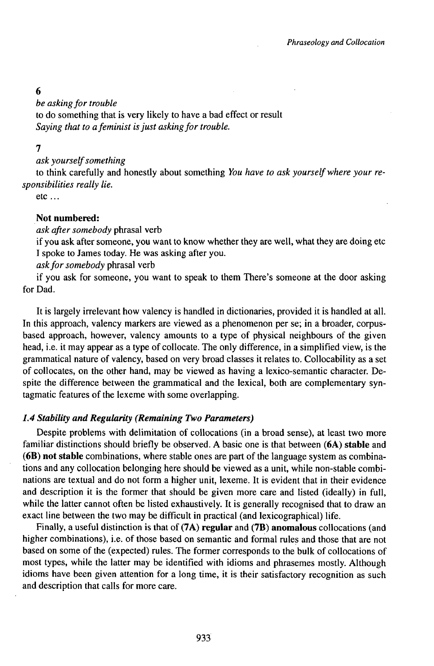# 6

*be asking for trouble* 

to do something that is very likely to have a bad effect or result *Saying that to afeminist isjust askingfor trouble.*

# 7

### *ask yourselfsomething*

to think carefully and honestly about something *You have to askyourselfwhere your responsibilities really lie.*

etc ...

# **Not numbered:**

# *ask after somebody* phrasal verb

if you ask after someone, you want to know whether they are well, what they are doing etc I spoke to James today. He was asking after you.

### *askforsomebody* phrasal verb

if you ask for someone, you want to speak to them There's someone at the door asking for Dad.

It is largely irrelevant how valency is handled in dictionaries, provided it is handled at all. In this approach, valency markers are viewed as a phenomenon per se; in a broader, corpusbased approach, however, valency amounts to a type of physical neighbours of the given head, i.e. it may appear as a type of collocate. The only difference, in a simplified view, is the grammatical nature of valency, based on very broad classes it relates to. Collocability as a set of collocates, on the other hand, may be viewed as having a lexico-semantic character. Despite the difference between the grammatical and the lexical, both are complementary syntagmatic features of the lexeme with some overlapping.

# *1.4 Stability and ReguUirity (Remaining Two Parameters)*

Despite problems with delimitation of collocations (in a broad sense), at least two more familiar distinctions should briefly be observed. A basic one is that between **(6A) stable** and **(6B) not stable** combinations, where stable ones are part of the language system as combinations and any collocation belonging here should be viewed as a unit, while non-stable combinations are textual and do not form a higher unit, lexeme. It is evident that in their evidence and description it is the former that should be given more care and listed (ideally) in full, while the latter cannot often be listed exhaustively. It is generally recognised that to draw an exact line between the two may be difficult in practical (and lexicographical) life.

Finally, a useful distinction is that of **(7A) regular** and **(7B) anomalous** collocations (and higher combinations), i.e. of those based on semantic and formal rules and those that are not based on some of the (expected) rules. The former corresponds to the bulk of collocations of most types, while the latter may be identified with idioms and phrasemes mostly. Although idioms have been given attention for a long time, it is their satisfactory recognition as such and description that calls for more care.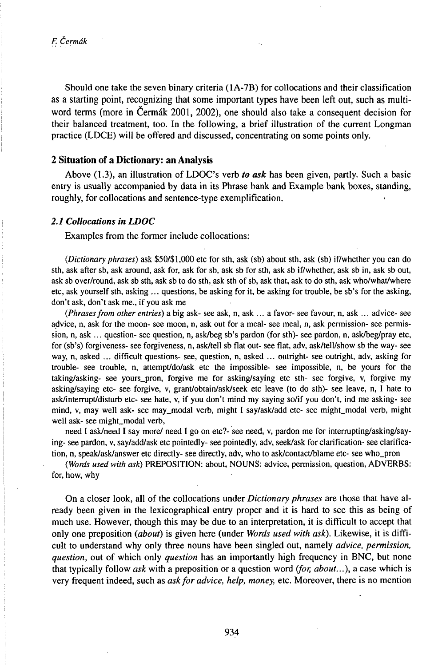*F. Čermák*

Should one take the seven binary criteria (lA-7B) for collocations and their classification as a starting point, recognizing that some important types have been left out, such as multiword terms (more in Čermák 2001, 2002), one should also take a consequent decision for their balanced treatment, too. In the following, a brief illustration of the current Longman practice (LDCE) will be offered and discussed, concentrating on some points only.

# **2 Situation of a Dictionary: an Analysis**

Above (1.3), an illustration of LDOC's verb *to ask* has been given, partly. Such a basic entry is usually accompanied by data in its Phrase bank and Example bank boxes, standing, roughly, for collocations and sentence-type exemplification.

#### *2.1 Collocations in LDOC*

Examples from the former include collocations:

*(Dictionaryphrases)* ask \$50/\$l,000 etc for sth, ask (sb) about sth, ask (sb) if/whether you can do sth, ask after sb, ask around, ask for, ask for sb, ask sb for sth, ask sb if/whether, ask sb in, ask sb out, ask sb over/round, ask sb sth, ask sb to do sth, ask sth of sb, ask that, ask to do sth, ask who/what/where etc, ask yourself sth, asking ... questions, be asking for it, be asking for trouble, be sb's for the asking, don't ask, don't ask me., if you ask me

*(Phrasesfrom other entries)* a big ask- see ask, n, ask ... a favor- see favour, n, ask ... advice- see advice, n, ask for the moon- see moon, n, ask out for a meal- see meal, n, ask permission- see permission, n, ask ... question- see question, n, ask/beg sb's pardon (for sth)- see pardon, n, ask/beg/pray etc, for (sb's) forgiveness- see forgiveness, n, ask/tell sb flat out- see flat, adv, ask/tell/show sb the way- see way, n, asked ... difficult questions- see, question, n, asked ... outright- see outright, adv, asking for trouble- see trouble, n, attempt/do/ask etc the impossible- see impossible, n, be yours for the taking/asking- see yours\_pron, forgive me for asking/saying etc sth- see forgive, v, forgive my asking/saying etc- see forgive, v, grant/obtain/ask/seek etc leave (to do sth)- see leave, n, I hate to ask/interrupt/disturb etc- see hate, v, if you don't mind my saying so/if you don't, ind me asking- see mind, v, may well ask- see may\_modal verb, might I say/ask/add etc- see might\_modal verb, might well ask- see might\_modal verb,

need I ask/need I say more/ need I go on etc?- see need, v, pardon me for interrupting/asking/saying- see pardon, v, say/add/ask etc pointedly- see pointedly, adv, seek/ask for clarification- see clarification, n, speak/ask/answer etc directly- see directly, adv, who to ask/contact/blame etc- see who\_pron

*(Words used with ask)* PREPOSITION: about, NOUNS: advice, permission, question, ADVERBS: for, how, why

On a closer look, all of the collocations under *Dictionary phrases* are those that have already been given in the lexicographical entry proper and it is hard to see this as being of much use. However, though this may be due to an interpretation, it is difficult to accept that only one preposition *(about)* is given here (under *Words used with ask).* Likewise, it is difficult to understand why only three nouns have been singled out, namely *advice, permission, question,* out of which only *question* has an importantly high frequency in BNC, but none that typically follow *ask* with a preposition or a question word *tfor, about...),* a case which is very frequent indeed, such as *askfor advice, help, money,* etc. Moreover, there is no mention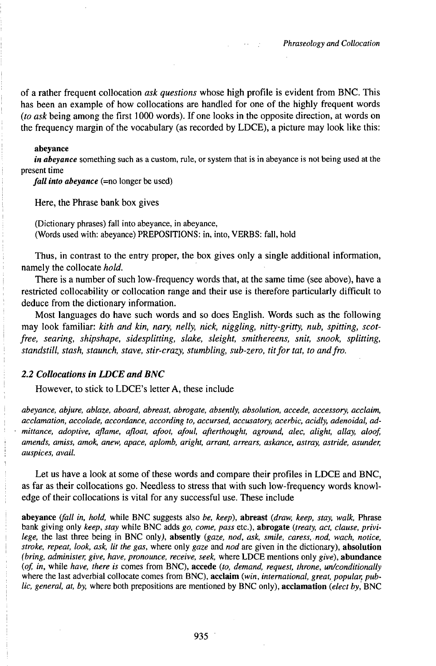of a rather frequent collocation *ask questions* whose high profile is evident from BNC. This has been an example of how collocations are handled for one of the highly frequent words *(to ask* being among the first 1000 words). Ifone looks in the opposite direction, at words on the frequency margin of the vocabulary (as recorded by LDCE), a picture may look like this:

#### abeyance

*in abeyance* something such as a custom, rule, or system that is in abeyance is not being used at the present time

*fall into abevance* (=no longer be used)

Here, the Phrase bank box gives

(Dictionary phrases) fall into abeyance, in abeyance, (Words used with: abeyance) PREPOSITIONS: in, into, VERBS: fall, hold

Thus, in contrast to the entry proper, the box gives only a single additional information, namely the collocate *hold.*

There is a number of such low-frequency words that, at the same time (see above), have a restricted collocability or collocation range and their use is therefore particularly difficult to deduce from the dictionary information.

Most languages do have such words and so does English. Words such as the following may look familiar: *kith and kin, nary, nelly, nick, niggling, nitty-gritty, nub, spitting, scotfree, searing, shipshape, sidesplitting, slake, sleight, smithereens, snit, snook, splitting, standstill, stash, staunch, stave, stir-crazy, stumbling, sub-zero, titfortat, to andfro.*

### *2.2 Collocations in LDCE and BNC*

However, to stick to LDCE's letter A, these include

*abeyance, abjure, ablaze, aboard, abreast, abrogate, absently, absolution, accede, accessory, acclaim, acclamation, accolade, accordance, according to, accursed, accusatory, acerbic, acidly, adenoidal, admittance, adoptive, aflame, afloat, afoot, afoul, afterthought, aground, alec, alight, allay, aloof amends, amiss, amok, anew, apace, aplomb, aright, arrant, arrears, askance, astray, astride, asunder, auspices, avail.*

Let us have a look at some of these words and compare their profiles in LDCE and BNC, as far as their collocations go. Needless to stress that with such low-frequency words knowledge of their collocations is vital for any successful use. These include

**abeyance** *tfall in, hold,* while BNC suggests also *be, keep),* **abreast** *(draw, keep, stay, walk,* Phrase bank giving only *keep, stay* while BNC adds *go, come, pass* etc.), **abrogate** *(treaty, act, clause, privilege,* the last three being in BNC only), **absently** *(gaze, nod, ask, smile, caress,nod, wach, notice, stroke, repeat, look, ask, lit the gas,* where only *gaze* and *nod* are given in the dictionary), **absolution** *(bring, administer, give, have, pronounce, receive, seek,* where LDCE mentions only *give),* **abundance** *(of, in,* while *have, there is* comes from BNC), **accede** *(to, demand, request, throne, un/conditionally* where the last adverbial collocate comes from BNC), **acclaim** *(win, international, great, popular, public, general, at, by,* where both prepositions are mentioned by BNC only), **acclamation** *(elect by,* BNC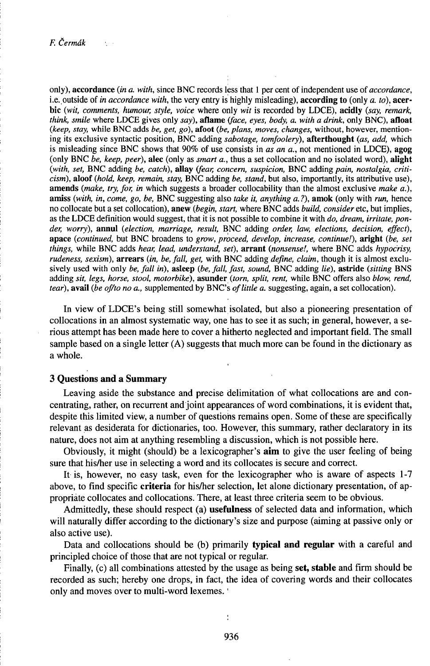only), accordance *(in a. with,* since BNC records less that <sup>1</sup> per cent of independent use *oîaccordance,* i.e..outside of *in accordance with,* the very entry is highly misleading), according to (only *a. to),* acerbic *(wit, comments, humour, style, voice* where only *wit* is recorded by LDCE), **acidly** *(say, remark, think, smile* where LDCE gives only *say),* **aflame** *tface, eyes, body, a. with a drink,* only BNC), **afloat** *(keep, stay,* while BNC adds *be, get, go),* **afoot** *(be, plans, moves, changes,* without, however, mentioning its exclusive syntactic position, BNC adding *sabotage, tomfoolery),* afterthought *(as, add,* which is misleading since BNC shows that 90% of use consists in *as an a.,* not mentioned in LDCE), agog (only BNC *be, keep, peer),* alec (only as *smart a.,* thus a set collocation and no isolated word), alight *(with, set,* BNC adding *be, catch),* **allay** *ifear, concern, suspicion,* BNC adding *pain, nostalgia, criticism),* aloof *(hold, keep, remain, stay,* BNC adding *be, stand,* but also, importantly, its attributive use), amends *(make, try, for, in* which suggests a broader collocability than the almost exclusive *make a.),* **amiss** *(with, in, come, go, be,* BNC suggesting also *take it, anything a. ?),* **amok** (only with *run,* hence no collocate but a set collocation), anew *(begin, start,* where BNC adds *build, consider* etc, but implies, as the LDCE definition would suggest, that it is not possible to combine it with *do, dream, irritate, ponder, worry),* **annul** *(election, marriage, result,* BNC adding *order, law, elections, decision, effect),* **apace** *(continued,* but BNC broadens to *grow, proceed, develop, increase, continue!),* **aright** *(be, set things,* while BNC adds *hear, lead, understand, set),* **arrant** *(nonsense!,* where BNC adds *hypocrisy, rudeness, sexism),* arrears *(in, be, fall, get,* with BNC adding *define, claim,* though it is almost exclusively used with only *be, fall in),* **asleep** *(be, fall, fast, sound,* BNC adding *lie),* **astride** *(sitting* BNS adding *sit, legs, horse, stool, motorbike),* **asunder** *(torn, split, rent,* while BNC offers also *blow, rend, tear*), avail (be *of/to no a.*, supplemented by BNC's *of little a.* suggesting, again, a set collocation).

In view of LDCE's being still somewhat isolated, but also a pioneering presentation of collocations in an almost systematic way, one has to see it as such; in general, however, a serious attempt has been made here to cover a hitherto neglected and important field. The small sample based on a single letter  $(A)$  suggests that much more can be found in the dictionary as a whole.

# **3 Questions and a Summary**

Leaving aside the substance and precise delimitation of what collocations are and concentrating, rather, on recurrent and joint appearances of word combinations, it is evident that, despite this limited view, a number of questions remains open. Some of these are specifically relevant as desiderata for dictionaries, too. However, this summary, rather declaratory in its nature, does not aim at anything resembling a discussion, which is not possible here.

Obviously, it might (should) be a lexicographer's **aim** to give the user feeling of being sure that his/her use in selecting a word and its collocates is secure and correct.

It is, however, no easy task, even for the lexicographer who is aware of aspects 1-7 above, to find specific **criteria** for his/her selection, let alone dictionary presentation, of appropriate collocates and collocations. There, at least three criteria seem to be obvious.

Admittedly, these should respect (a) **usefulness** of selected data and information, which will naturally differ according to the dictionary's size and purpose (aiming at passive only or also active use).

Data and collocations should be (b) primarily **typical and regular** with a careful and principled choice of those that are not typical or regular.

Finally, (c) all combinations attested by the usage as being **set, stable** and firm should be recorded as such; hereby one drops, in fact, the idea of covering words and their collocates only and moves over to multi-word lexemes. '

ł